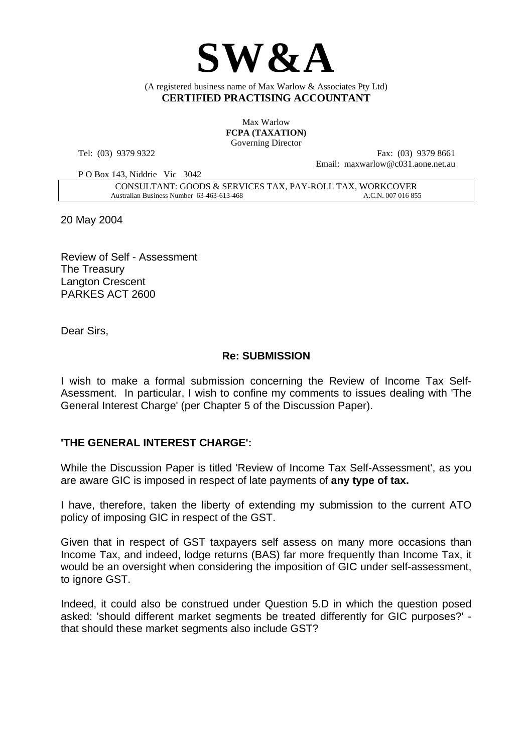

(A registered business name of Max Warlow & Associates Pty Ltd) **CERTIFIED PRACTISING ACCOUNTANT** 

> Max Warlow **FCPA (TAXATION)**  Governing Director

Tel: (03) 9379 9322

Fax: (03) 9379 8661 Email: maxwarlow@c031 aone net au.

P O Box 143, Niddrie Vic 3042

CONSULTANT: GOODS & SERVICES TAX, PAY-ROLL TAX, WORKCOVER Australian Business Number 63-463-613-468 A.C.N. 007 016 855

20 May 2004

Review of Self - Assessment The Treasury Langton Crescent PARKES ACT 2600

Dear Sirs,

## **Re: SUBMISSION**

I wish to make a formal submission concerning the Review of Income Tax Self-Asessment. In particular, I wish to confine my comments to issues dealing with 'The General Interest Charge' (per Chapter 5 of the Discussion Paper).

## **'THE GENERAL INTEREST CHARGE':**

While the Discussion Paper is titled 'Review of Income Tax Self-Assessment', as you are aware GIC is imposed in respect of late payments of **any type of tax.**

I have, therefore, taken the liberty of extending my submission to the current ATO policy of imposing GIC in respect of the GST.

Given that in respect of GST taxpayers self assess on many more occasions than Income Tax, and indeed, lodge returns (BAS) far more frequently than Income Tax, it would be an oversight when considering the imposition of GIC under self-assessment, to ignore GST.

Indeed, it could also be construed under Question 5.D in which the question posed asked: 'should different market segments be treated differently for GIC purposes?' that should these market segments also include GST?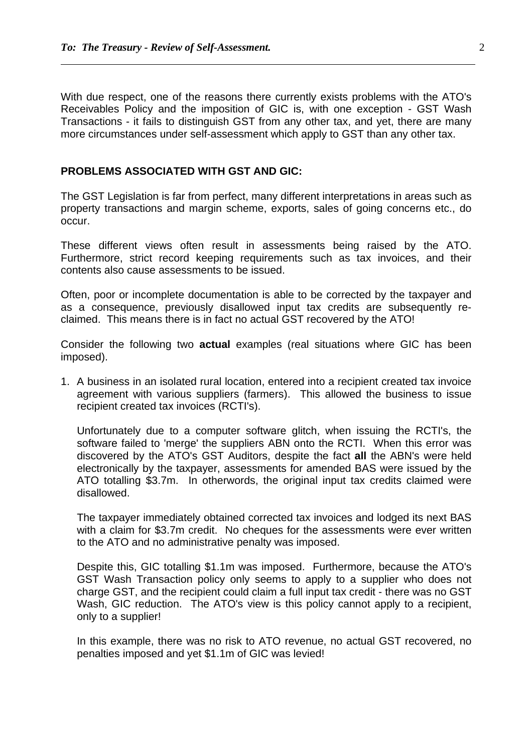$\overline{a}$ 

With due respect, one of the reasons there currently exists problems with the ATO's Receivables Policy and the imposition of GIC is, with one exception - GST Wash Transactions - it fails to distinguish GST from any other tax, and yet, there are many more circumstances under self-assessment which apply to GST than any other tax.

## **PROBLEMS ASSOCIATED WITH GST AND GIC:**

The GST Legislation is far from perfect, many different interpretations in areas such as property transactions and margin scheme, exports, sales of going concerns etc., do occur.

These different views often result in assessments being raised by the ATO. Furthermore, strict record keeping requirements such as tax invoices, and their contents also cause assessments to be issued.

Often, poor or incomplete documentation is able to be corrected by the taxpayer and as a consequence, previously disallowed input tax credits are subsequently reclaimed. This means there is in fact no actual GST recovered by the ATO!

Consider the following two **actual** examples (real situations where GIC has been imposed).

1. A business in an isolated rural location, entered into a recipient created tax invoice agreement with various suppliers (farmers). This allowed the business to issue recipient created tax invoices (RCTI's).

Unfortunately due to a computer software glitch, when issuing the RCTI's, the software failed to 'merge' the suppliers ABN onto the RCTI. When this error was discovered by the ATO's GST Auditors, despite the fact **all** the ABN's were held electronically by the taxpayer, assessments for amended BAS were issued by the ATO totalling \$3.7m. In otherwords, the original input tax credits claimed were disallowed.

The taxpayer immediately obtained corrected tax invoices and lodged its next BAS with a claim for \$3.7m credit. No cheques for the assessments were ever written to the ATO and no administrative penalty was imposed.

Despite this, GIC totalling \$1.1m was imposed. Furthermore, because the ATO's GST Wash Transaction policy only seems to apply to a supplier who does not charge GST, and the recipient could claim a full input tax credit - there was no GST Wash, GIC reduction. The ATO's view is this policy cannot apply to a recipient. only to a supplier!

In this example, there was no risk to ATO revenue, no actual GST recovered, no penalties imposed and yet \$1.1m of GIC was levied!